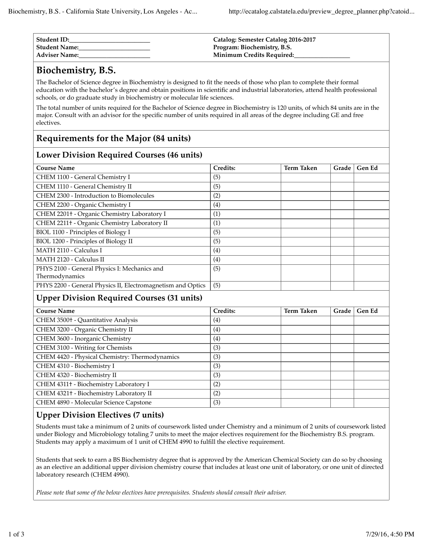| Student ID:     | Catalog: Semester Catalog 2016-2017 |
|-----------------|-------------------------------------|
| Student Name:   | Program: Biochemistry, B.S.         |
| ' Adviser Name: | Minimum Credits Required:           |

# **Biochemistry, B.S.**

The Bachelor of Science degree in Biochemistry is designed to fit the needs of those who plan to complete their formal education with the bachelor's degree and obtain positions in scientific and industrial laboratories, attend health professional schools, or do graduate study in biochemistry or molecular life sciences.

The total number of units required for the Bachelor of Science degree in Biochemistry is 120 units, of which 84 units are in the major. Consult with an advisor for the specific number of units required in all areas of the degree including GE and free electives.

## **Requirements for the Major (84 units)**

#### **Lower Division Required Courses (46 units)**

| <b>Course Name</b>                                             | Credits: | <b>Term Taken</b> | Grade | <b>Gen Ed</b> |
|----------------------------------------------------------------|----------|-------------------|-------|---------------|
| CHEM 1100 - General Chemistry I                                | (5)      |                   |       |               |
| CHEM 1110 - General Chemistry II                               | (5)      |                   |       |               |
| CHEM 2300 - Introduction to Biomolecules                       | (2)      |                   |       |               |
| CHEM 2200 - Organic Chemistry I                                | (4)      |                   |       |               |
| CHEM 2201+ - Organic Chemistry Laboratory I                    | (1)      |                   |       |               |
| CHEM 2211+ - Organic Chemistry Laboratory II                   | (1)      |                   |       |               |
| BIOL 1100 - Principles of Biology I                            | (5)      |                   |       |               |
| BIOL 1200 - Principles of Biology II                           | (5)      |                   |       |               |
| MATH 2110 - Calculus I                                         | (4)      |                   |       |               |
| MATH 2120 - Calculus II                                        | (4)      |                   |       |               |
| PHYS 2100 - General Physics I: Mechanics and<br>Thermodynamics | (5)      |                   |       |               |
| PHYS 2200 - General Physics II, Electromagnetism and Optics    | (5)      |                   |       |               |

#### **Upper Division Required Courses (31 units)**

| <b>Course Name</b>                             | Credits: | <b>Term Taken</b> | Grade | <b>Gen Ed</b> |  |
|------------------------------------------------|----------|-------------------|-------|---------------|--|
| CHEM 3500+ - Quantitative Analysis             | (4)      |                   |       |               |  |
| CHEM 3200 - Organic Chemistry II               | (4)      |                   |       |               |  |
| CHEM 3600 - Inorganic Chemistry                | (4)      |                   |       |               |  |
| CHEM 3100 - Writing for Chemists               | (3)      |                   |       |               |  |
| CHEM 4420 - Physical Chemistry: Thermodynamics | (3)      |                   |       |               |  |
| CHEM 4310 - Biochemistry I                     | (3)      |                   |       |               |  |
| CHEM 4320 - Biochemistry II                    | (3)      |                   |       |               |  |
| CHEM 4311+ - Biochemistry Laboratory I         | (2)      |                   |       |               |  |
| CHEM 4321+ - Biochemistry Laboratory II        | (2)      |                   |       |               |  |
| CHEM 4890 - Molecular Science Capstone         | (3)      |                   |       |               |  |

#### **Upper Division Electives (7 units)**

Students must take a minimum of 2 units of coursework listed under Chemistry and a minimum of 2 units of coursework listed under Biology and Microbiology totaling 7 units to meet the major electives requirement for the Biochemistry B.S. program. Students may apply a maximum of 1 unit of CHEM 4990 to fulfill the elective requirement.

Students that seek to earn a BS Biochemistry degree that is approved by the American Chemical Society can do so by choosing as an elective an additional upper division chemistry course that includes at least one unit of laboratory, or one unit of directed laboratory research (CHEM 4990).

*Please note that some of the below electives have prerequisites. Students should consult their adviser.*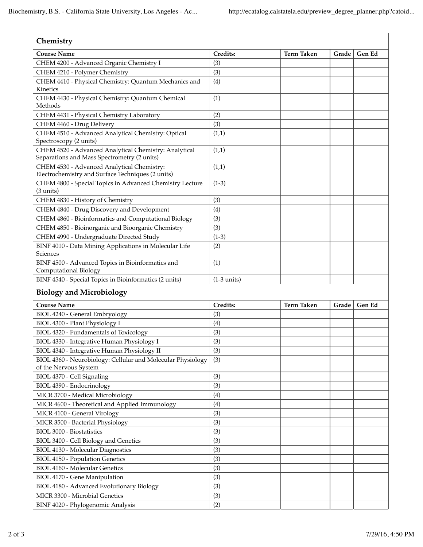$\overline{\phantom{a}}$ 

### **Chemistry**

| <b>Course Name</b>                                                                                   | Credits:      | <b>Term Taken</b> | Grade | Gen Ed |
|------------------------------------------------------------------------------------------------------|---------------|-------------------|-------|--------|
| CHEM 4200 - Advanced Organic Chemistry I                                                             | (3)           |                   |       |        |
| CHEM 4210 - Polymer Chemistry                                                                        | (3)           |                   |       |        |
| CHEM 4410 - Physical Chemistry: Quantum Mechanics and<br>Kinetics                                    | (4)           |                   |       |        |
| CHEM 4430 - Physical Chemistry: Quantum Chemical<br>Methods                                          | (1)           |                   |       |        |
| CHEM 4431 - Physical Chemistry Laboratory                                                            | (2)           |                   |       |        |
| CHEM 4460 - Drug Delivery                                                                            | (3)           |                   |       |        |
| CHEM 4510 - Advanced Analytical Chemistry: Optical<br>Spectroscopy (2 units)                         | (1,1)         |                   |       |        |
| CHEM 4520 - Advanced Analytical Chemistry: Analytical<br>Separations and Mass Spectrometry (2 units) | (1,1)         |                   |       |        |
| CHEM 4530 - Advanced Analytical Chemistry:<br>Electrochemistry and Surface Techniques (2 units)      | (1,1)         |                   |       |        |
| CHEM 4800 - Special Topics in Advanced Chemistry Lecture<br>$(3 \text{ units})$                      | $(1-3)$       |                   |       |        |
| CHEM 4830 - History of Chemistry                                                                     | (3)           |                   |       |        |
| CHEM 4840 - Drug Discovery and Development                                                           | (4)           |                   |       |        |
| CHEM 4860 - Bioinformatics and Computational Biology                                                 | (3)           |                   |       |        |
| CHEM 4850 - Bioinorganic and Bioorganic Chemistry                                                    | (3)           |                   |       |        |
| CHEM 4990 - Undergraduate Directed Study                                                             | $(1-3)$       |                   |       |        |
| BINF 4010 - Data Mining Applications in Molecular Life<br><b>Sciences</b>                            | (2)           |                   |       |        |
| BINF 4500 - Advanced Topics in Bioinformatics and<br>Computational Biology                           | (1)           |                   |       |        |
| BINF 4540 - Special Topics in Bioinformatics (2 units)                                               | $(1-3$ units) |                   |       |        |
| <b>Biology and Microbiology</b>                                                                      |               |                   |       |        |
| <b>Course Name</b>                                                                                   | Credits:      | <b>Term Taken</b> | Grade | Gen Ed |
| BIOL 4240 - General Embryology                                                                       | (3)           |                   |       |        |

|     | term taken | Grade I | <b>Gen Ea</b> |
|-----|------------|---------|---------------|
| (3) |            |         |               |
| (4) |            |         |               |
| (3) |            |         |               |
| (3) |            |         |               |
| (3) |            |         |               |
| (3) |            |         |               |
| (3) |            |         |               |
| (3) |            |         |               |
| (4) |            |         |               |
| (4) |            |         |               |
| (3) |            |         |               |
| (3) |            |         |               |
| (3) |            |         |               |
| (3) |            |         |               |
| (3) |            |         |               |
| (3) |            |         |               |
| (3) |            |         |               |
| (3) |            |         |               |
| (3) |            |         |               |
| (3) |            |         |               |
| (2) |            |         |               |
|     | Creants:   |         |               |